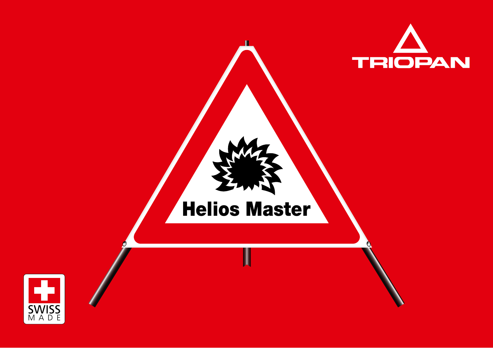

# Helios Master

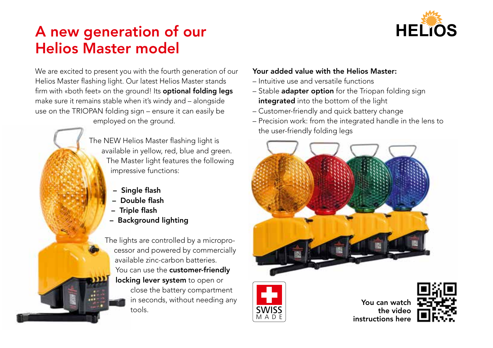## A new generation of our Helios Master model



We are excited to present you with the fourth generation of our Helios Master flashing light. Our latest Helios Master stands firm with «both feet» on the ground! Its **optional folding legs** make sure it remains stable when it's windy and – alongside use on the TRIOPAN folding sign – ensure it can easily be employed on the ground.

> The NEW Helios Master flashing light is available in yellow, red, blue and green. The Master light features the following impressive functions:

- Single flash
- Double flash
- Triple flash
- Background lighting

The lights are controlled by a microprocessor and powered by commercially available zinc-carbon batteries. You can use the customer-friendly locking lever system to open or close the battery compartment in seconds, without needing any tools.

#### Your added value with the Helios Master:

- Intuitive use and versatile functions
- Stable adapter option for the Triopan folding sign integrated into the bottom of the light
- Customer-friendly and quick battery change
- Precision work: from the integrated handle in the lens to the user-friendly folding legs





You can watch the video instructions here

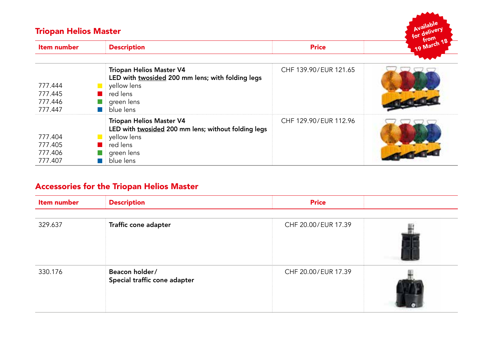| Wallach<br>for deliver.<br><b>Triopan Helios Master</b> |                                                                                                                                                                     |                       |             |  |
|---------------------------------------------------------|---------------------------------------------------------------------------------------------------------------------------------------------------------------------|-----------------------|-------------|--|
| Item number                                             | <b>Description</b>                                                                                                                                                  | <b>Price</b>          | 19 March 18 |  |
| 777.444<br>777.445<br>777.446<br>777.447                | Triopan Helios Master V4<br>LED with twosided 200 mm lens; with folding legs<br>yellow lens<br>$\blacksquare$ red lens<br>$\blacksquare$ green lens<br>blue lens    | CHF 139.90/EUR 121.65 |             |  |
| 777.404<br>777.405<br>777.406<br>777.407                | Triopan Helios Master V4<br>LED with twosided 200 mm lens; without folding legs<br>yellow lens<br>$\blacksquare$ red lens<br>$\blacksquare$ green lens<br>blue lens | CHF 129.90/EUR 112.96 |             |  |

### Accessories for the Triopan Helios Master

| Item number | <b>Description</b>                             | <b>Price</b>        |  |
|-------------|------------------------------------------------|---------------------|--|
| 329.637     | Traffic cone adapter                           | CHF 20.00/EUR 17.39 |  |
| 330.176     | Beacon holder/<br>Special traffic cone adapter | CHF 20.00/EUR 17.39 |  |